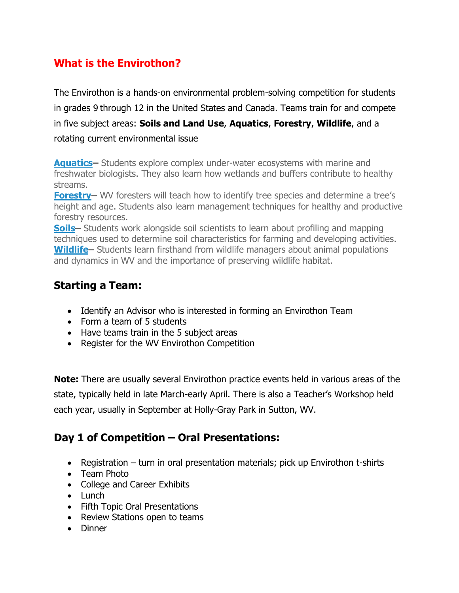# **What is the Envirothon?**

The Envirothon is a hands-on environmental problem-solving competition for students in grades 9 through 12 in the United States and Canada. Teams train for and compete in five subject areas: **Soils and Land Use**, **Aquatics**, **Forestry**, **Wildlife**, and a rotating current environmental issue

**[Aquatics–](http://mdenvirothon.org/training/aquatics/)** Students explore complex under-water ecosystems with marine and freshwater biologists. They also learn how wetlands and buffers contribute to healthy streams.

**[Forestry–](http://mdenvirothon.org/training/forestry/)** WV foresters will teach how to identify tree species and determine a tree's height and age. Students also learn management techniques for healthy and productive forestry resources.

**[Soils–](http://mdenvirothon.org/training/soils/)** Students work alongside soil scientists to learn about profiling and mapping techniques used to determine soil characteristics for farming and developing activities. **[Wildlife–](http://mdenvirothon.org/training/wildlife/)** Students learn firsthand from wildlife managers about animal populations and dynamics in WV and the importance of preserving wildlife habitat.

### **Starting a Team:**

- Identify an Advisor who is interested in forming an Envirothon Team
- Form a team of 5 students
- Have teams train in the 5 subject areas
- Register for the WV Envirothon Competition

**Note:** There are usually several Envirothon practice events held in various areas of the state, typically held in late March-early April. There is also a Teacher's Workshop held each year, usually in September at Holly-Gray Park in Sutton, WV.

### **Day 1 of Competition – Oral Presentations:**

- Registration turn in oral presentation materials; pick up Envirothon t-shirts
- Team Photo
- College and Career Exhibits
- Lunch
- Fifth Topic Oral Presentations
- Review Stations open to teams
- Dinner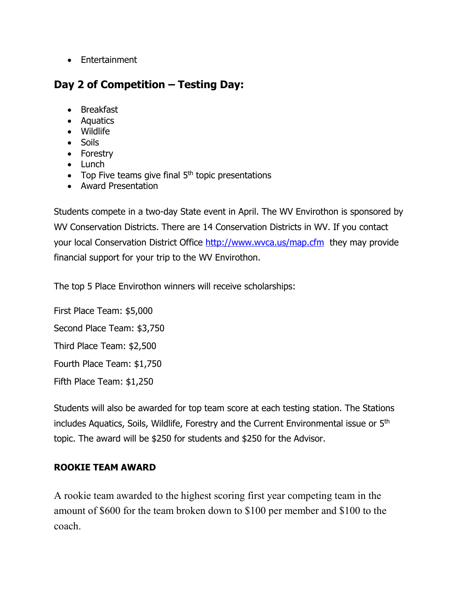• Entertainment

## **Day 2 of Competition – Testing Day:**

- Breakfast
- Aquatics
- Wildlife
- Soils
- Forestry
- Lunch
- Top Five teams give final  $5<sup>th</sup>$  topic presentations
- Award Presentation

Students compete in a two-day State event in April. The WV Envirothon is sponsored by WV Conservation Districts. There are 14 Conservation Districts in WV. If you contact your local Conservation District Office http://www.wyca.us/map.cfm they may provide financial support for your trip to the WV Envirothon.

The top 5 Place Envirothon winners will receive scholarships:

First Place Team: \$5,000 Second Place Team: \$3,750 Third Place Team: \$2,500 Fourth Place Team: \$1,750 Fifth Place Team: \$1,250

Students will also be awarded for top team score at each testing station. The Stations includes Aquatics, Soils, Wildlife, Forestry and the Current Environmental issue or 5th topic. The award will be \$250 for students and \$250 for the Advisor.

### **ROOKIE TEAM AWARD**

A rookie team awarded to the highest scoring first year competing team in the amount of \$600 for the team broken down to \$100 per member and \$100 to the coach.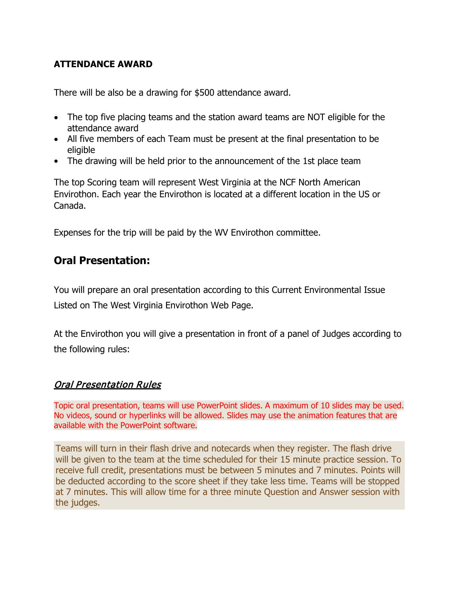#### **ATTENDANCE AWARD**

There will be also be a drawing for \$500 attendance award.

- The top five placing teams and the station award teams are NOT eligible for the attendance award
- All five members of each Team must be present at the final presentation to be eligible
- The drawing will be held prior to the announcement of the 1st place team

The top Scoring team will represent West Virginia at the NCF North American Envirothon. Each year the Envirothon is located at a different location in the US or Canada.

Expenses for the trip will be paid by the WV Envirothon committee.

### **Oral Presentation:**

You will prepare an oral presentation according to this Current Environmental Issue Listed on The West Virginia Envirothon Web Page.

At the Envirothon you will give a presentation in front of a panel of Judges according to the following rules:

#### Oral Presentation Rules

Topic oral presentation, teams will use PowerPoint slides. A maximum of 10 slides may be used. No videos, sound or hyperlinks will be allowed. Slides may use the animation features that are available with the PowerPoint software.

Teams will turn in their flash drive and notecards when they register. The flash drive will be given to the team at the time scheduled for their 15 minute practice session. To receive full credit, presentations must be between 5 minutes and 7 minutes. Points will be deducted according to the score sheet if they take less time. Teams will be stopped at 7 minutes. This will allow time for a three minute Question and Answer session with the judges.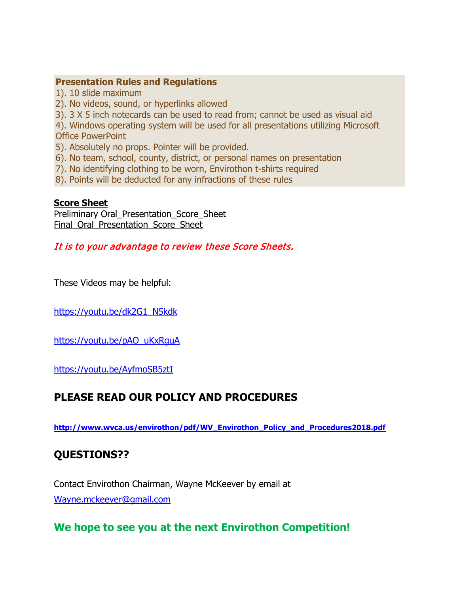#### **Presentation Rules and Regulations**

1). 10 slide maximum

2). No videos, sound, or hyperlinks allowed

3). 3 X 5 inch notecards can be used to read from; cannot be used as visual aid

4). Windows operating system will be used for all presentations utilizing Microsoft Office PowerPoint

5). Absolutely no props. Pointer will be provided.

- 6). No team, school, county, district, or personal names on presentation
- 7). No identifying clothing to be worn, Envirothon t-shirts required
- 8). Points will be deducted for any infractions of these rules

#### **Score Sheet**

[Preliminary Oral\\_Presentation\\_Score\\_Sheet](http://www.wvca.us/envirothon/pdf/PreliminaryOral_Presentation_Score_Sheet.pdf) Final Oral Presentation Score Sheet

It is to your advantage to review these Score Sheets.

These Videos may be helpful:

[https://youtu.be/dk2G1\\_N5kdk](https://youtu.be/dk2G1_N5kdk)

[https://youtu.be/pAO\\_uKxRguA](https://youtu.be/pAO_uKxRguA)

<https://youtu.be/AyfmoSB5ztI>

### **PLEASE READ OUR POLICY AND PROCEDURES**

**[http://www.wvca.us/envirothon/pdf/WV\\_Envirothon\\_Policy\\_and\\_Procedures2018.pdf](http://www.wvca.us/envirothon/pdf/WV_Envirothon_Policy_and_Procedures2018.pdf)**

### **QUESTIONS??**

Contact Envirothon Chairman, Wayne McKeever by email at [Wayne.mckeever@gmail.com](mailto:Wayne.mckeever@gmail.com)

### **We hope to see you at the next Envirothon Competition!**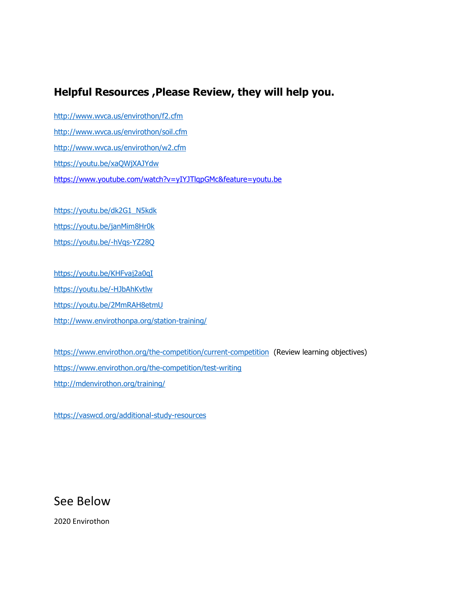### **Helpful Resources ,Please Review, they will help you.**

<http://www.wvca.us/envirothon/f2.cfm> <http://www.wvca.us/envirothon/soil.cfm> <http://www.wvca.us/envirothon/w2.cfm> <https://youtu.be/xaQWjXAJYdw> <https://www.youtube.com/watch?v=yIYJTlqpGMc&feature=youtu.be>

[https://youtu.be/dk2G1\\_N5kdk](https://youtu.be/dk2G1_N5kdk) <https://youtu.be/janMim8Hr0k> <https://youtu.be/-hVqs-YZ28Q>

<https://youtu.be/KHFvaj2a0qI> <https://youtu.be/-HJbAhKvtlw> <https://youtu.be/2MmRAH8etmU> <http://www.envirothonpa.org/station-training/>

<https://www.envirothon.org/the-competition/current-competition>(Review learning objectives) <https://www.envirothon.org/the-competition/test-writing> <http://mdenvirothon.org/training/>

<https://vaswcd.org/additional-study-resources>

### See Below

2020 Envirothon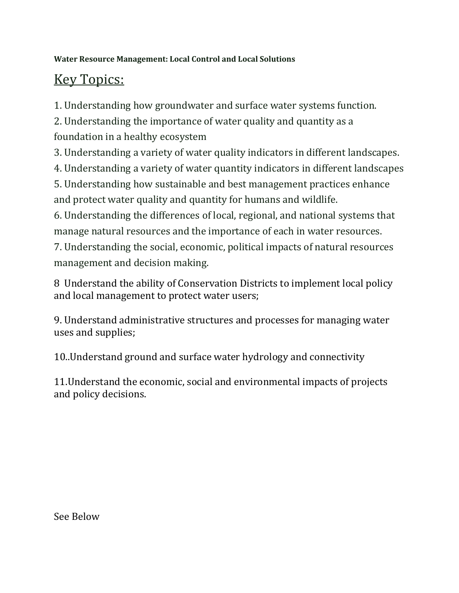### **Water Resource Management: Local Control and Local Solutions**

# Key Topics:

1. Understanding how groundwater and surface water systems function.

2. Understanding the importance of water quality and quantity as a foundation in a healthy ecosystem

3. Understanding a variety of water quality indicators in different landscapes.

4. Understanding a variety of water quantity indicators in different landscapes

5. Understanding how sustainable and best management practices enhance and protect water quality and quantity for humans and wildlife.

6. Understanding the differences of local, regional, and national systems that manage natural resources and the importance of each in water resources.

7. Understanding the social, economic, political impacts of natural resources management and decision making.

8 Understand the ability of Conservation Districts to implement local policy and local management to protect water users;

9. Understand administrative structures and processes for managing water uses and supplies;

10..Understand ground and surface water hydrology and connectivity

11.Understand the economic, social and environmental impacts of projects and policy decisions.

See Below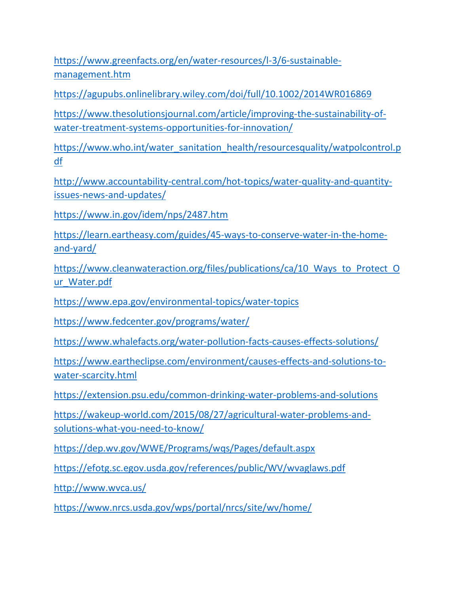[https://www.greenfacts.org/en/water-resources/l-3/6-sustainable](https://www.greenfacts.org/en/water-resources/l-3/6-sustainable-management.htm)[management.htm](https://www.greenfacts.org/en/water-resources/l-3/6-sustainable-management.htm)

<https://agupubs.onlinelibrary.wiley.com/doi/full/10.1002/2014WR016869>

[https://www.thesolutionsjournal.com/article/improving-the-sustainability-of](https://www.thesolutionsjournal.com/article/improving-the-sustainability-of-water-treatment-systems-opportunities-for-innovation/)[water-treatment-systems-opportunities-for-innovation/](https://www.thesolutionsjournal.com/article/improving-the-sustainability-of-water-treatment-systems-opportunities-for-innovation/)

[https://www.who.int/water\\_sanitation\\_health/resourcesquality/watpolcontrol.p](https://www.who.int/water_sanitation_health/resourcesquality/watpolcontrol.pdf) [df](https://www.who.int/water_sanitation_health/resourcesquality/watpolcontrol.pdf)

[http://www.accountability-central.com/hot-topics/water-quality-and-quantity](http://www.accountability-central.com/hot-topics/water-quality-and-quantity-issues-news-and-updates/)[issues-news-and-updates/](http://www.accountability-central.com/hot-topics/water-quality-and-quantity-issues-news-and-updates/)

<https://www.in.gov/idem/nps/2487.htm>

[https://learn.eartheasy.com/guides/45-ways-to-conserve-water-in-the-home](https://learn.eartheasy.com/guides/45-ways-to-conserve-water-in-the-home-and-yard/)[and-yard/](https://learn.eartheasy.com/guides/45-ways-to-conserve-water-in-the-home-and-yard/)

https://www.cleanwateraction.org/files/publications/ca/10 Ways to Protect O [ur\\_Water.pdf](https://www.cleanwateraction.org/files/publications/ca/10_Ways_to_Protect_Our_Water.pdf)

<https://www.epa.gov/environmental-topics/water-topics>

<https://www.fedcenter.gov/programs/water/>

<https://www.whalefacts.org/water-pollution-facts-causes-effects-solutions/>

[https://www.eartheclipse.com/environment/causes-effects-and-solutions-to](https://www.eartheclipse.com/environment/causes-effects-and-solutions-to-water-scarcity.html)[water-scarcity.html](https://www.eartheclipse.com/environment/causes-effects-and-solutions-to-water-scarcity.html)

<https://extension.psu.edu/common-drinking-water-problems-and-solutions>

[https://wakeup-world.com/2015/08/27/agricultural-water-problems-and](https://wakeup-world.com/2015/08/27/agricultural-water-problems-and-solutions-what-you-need-to-know/)[solutions-what-you-need-to-know/](https://wakeup-world.com/2015/08/27/agricultural-water-problems-and-solutions-what-you-need-to-know/)

<https://dep.wv.gov/WWE/Programs/wqs/Pages/default.aspx>

<https://efotg.sc.egov.usda.gov/references/public/WV/wvaglaws.pdf>

<http://www.wvca.us/>

<https://www.nrcs.usda.gov/wps/portal/nrcs/site/wv/home/>